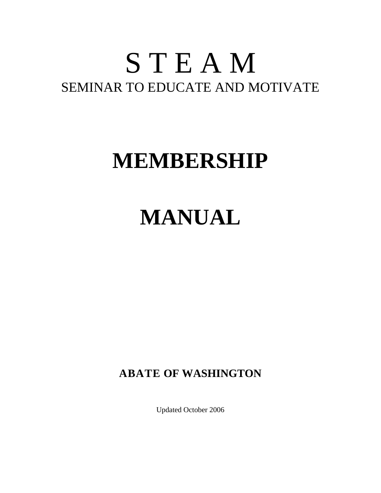## S T E A M SEMINAR TO EDUCATE AND MOTIVATE

## **MEMBERSHIP**

# **MANUAL**

**ABATE OF WASHINGTON** 

Updated October 2006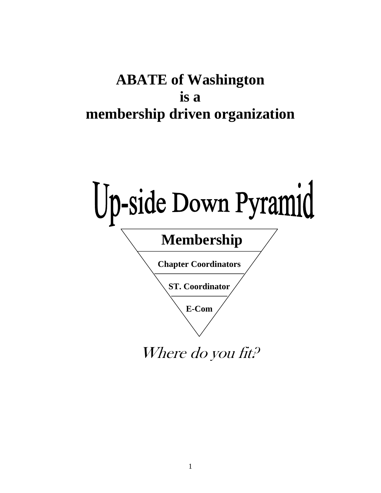## **ABATE of Washington is a membership driven organization**

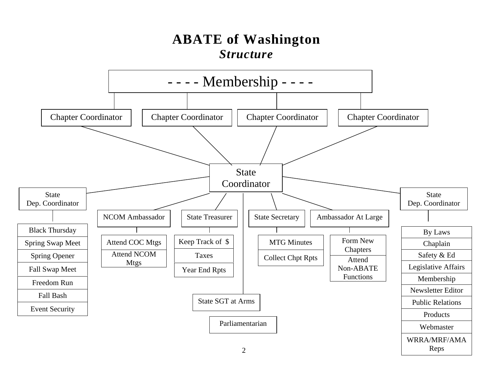## **ABATE of Washington**  *Structure*

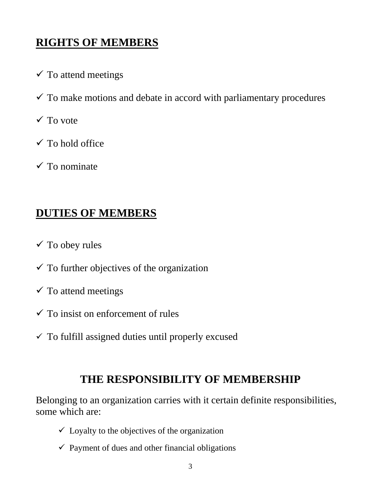### **RIGHTS OF MEMBERS**

- $\checkmark$  To attend meetings
- $\checkmark$  To make motions and debate in accord with parliamentary procedures
- $\checkmark$  To vote
- $\checkmark$  To hold office
- $\checkmark$  To nominate

### **DUTIES OF MEMBERS**

- $\checkmark$  To obey rules
- $\checkmark$  To further objectives of the organization
- $\checkmark$  To attend meetings
- $\checkmark$  To insist on enforcement of rules
- $\checkmark$  To fulfill assigned duties until properly excused

## **THE RESPONSIBILITY OF MEMBERSHIP**

Belonging to an organization carries with it certain definite responsibilities, some which are:

- $\checkmark$  Loyalty to the objectives of the organization
- $\checkmark$  Payment of dues and other financial obligations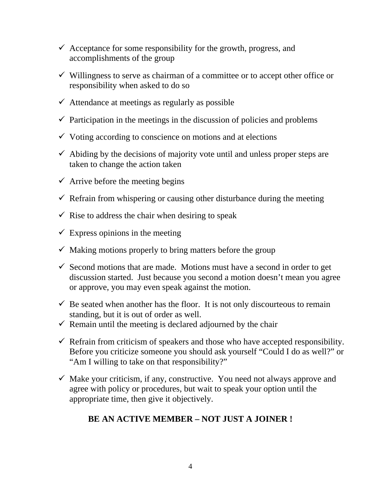- $\checkmark$  Acceptance for some responsibility for the growth, progress, and accomplishments of the group
- $\checkmark$  Willingness to serve as chairman of a committee or to accept other office or responsibility when asked to do so
- $\checkmark$  Attendance at meetings as regularly as possible
- $\checkmark$  Participation in the meetings in the discussion of policies and problems
- $\checkmark$  Voting according to conscience on motions and at elections
- $\checkmark$  Abiding by the decisions of majority vote until and unless proper steps are taken to change the action taken
- $\checkmark$  Arrive before the meeting begins
- $\checkmark$  Refrain from whispering or causing other disturbance during the meeting
- $\checkmark$  Rise to address the chair when desiring to speak
- $\checkmark$  Express opinions in the meeting
- $\checkmark$  Making motions properly to bring matters before the group
- $\checkmark$  Second motions that are made. Motions must have a second in order to get discussion started. Just because you second a motion doesn't mean you agree or approve, you may even speak against the motion.
- $\checkmark$  Be seated when another has the floor. It is not only discourteous to remain standing, but it is out of order as well.
- $\checkmark$  Remain until the meeting is declared adjourned by the chair
- $\checkmark$  Refrain from criticism of speakers and those who have accepted responsibility. Before you criticize someone you should ask yourself "Could I do as well?" or "Am I willing to take on that responsibility?"
- $\checkmark$  Make your criticism, if any, constructive. You need not always approve and agree with policy or procedures, but wait to speak your option until the appropriate time, then give it objectively.

#### **BE AN ACTIVE MEMBER – NOT JUST A JOINER !**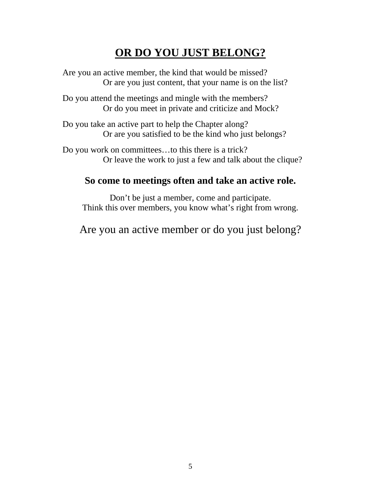### **OR DO YOU JUST BELONG?**

 Are you an active member, the kind that would be missed? Or are you just content, that your name is on the list?

 Do you attend the meetings and mingle with the members? Or do you meet in private and criticize and Mock?

 Do you take an active part to help the Chapter along? Or are you satisfied to be the kind who just belongs?

 Do you work on committees…to this there is a trick? Or leave the work to just a few and talk about the clique?

#### **So come to meetings often and take an active role.**

Don't be just a member, come and participate. Think this over members, you know what's right from wrong.

Are you an active member or do you just belong?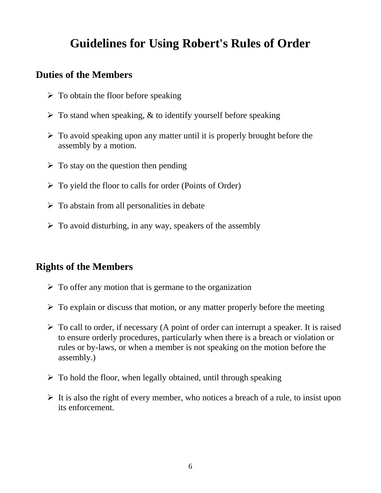## **Guidelines for Using Robert's Rules of Order**

#### **Duties of the Members**

- $\triangleright$  To obtain the floor before speaking
- $\triangleright$  To stand when speaking, & to identify yourself before speaking
- $\triangleright$  To avoid speaking upon any matter until it is properly brought before the assembly by a motion.
- $\triangleright$  To stay on the question then pending
- $\triangleright$  To yield the floor to calls for order (Points of Order)
- $\triangleright$  To abstain from all personalities in debate
- $\triangleright$  To avoid disturbing, in any way, speakers of the assembly

#### **Rights of the Members**

- $\triangleright$  To offer any motion that is germane to the organization
- $\triangleright$  To explain or discuss that motion, or any matter properly before the meeting
- $\triangleright$  To call to order, if necessary (A point of order can interrupt a speaker. It is raised to ensure orderly procedures, particularly when there is a breach or violation or rules or by-laws, or when a member is not speaking on the motion before the assembly.)
- $\triangleright$  To hold the floor, when legally obtained, until through speaking
- $\triangleright$  It is also the right of every member, who notices a breach of a rule, to insist upon its enforcement.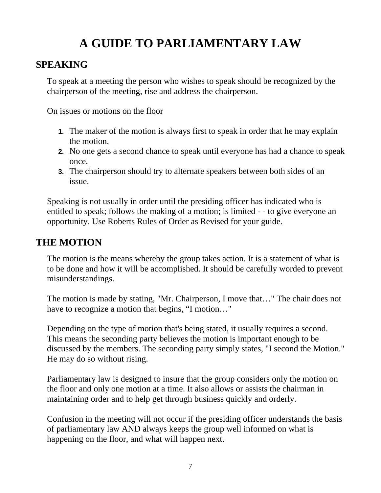## **A GUIDE TO PARLIAMENTARY LAW**

#### **SPEAKING**

To speak at a meeting the person who wishes to speak should be recognized by the chairperson of the meeting, rise and address the chairperson.

On issues or motions on the floor

- **1.** The maker of the motion is always first to speak in order that he may explain the motion.
- **2.** No one gets a second chance to speak until everyone has had a chance to speak once.
- **3.** The chairperson should try to alternate speakers between both sides of an issue.

Speaking is not usually in order until the presiding officer has indicated who is entitled to speak; follows the making of a motion; is limited - - to give everyone an opportunity. Use Roberts Rules of Order as Revised for your guide.

#### **THE MOTION**

The motion is the means whereby the group takes action. It is a statement of what is to be done and how it will be accomplished. It should be carefully worded to prevent misunderstandings.

The motion is made by stating, "Mr. Chairperson, I move that…" The chair does not have to recognize a motion that begins, "I motion…"

Depending on the type of motion that's being stated, it usually requires a second. This means the seconding party believes the motion is important enough to be discussed by the members. The seconding party simply states, "I second the Motion." He may do so without rising.

Parliamentary law is designed to insure that the group considers only the motion on the floor and only one motion at a time. It also allows or assists the chairman in maintaining order and to help get through business quickly and orderly.

Confusion in the meeting will not occur if the presiding officer understands the basis of parliamentary law AND always keeps the group well informed on what is happening on the floor, and what will happen next.